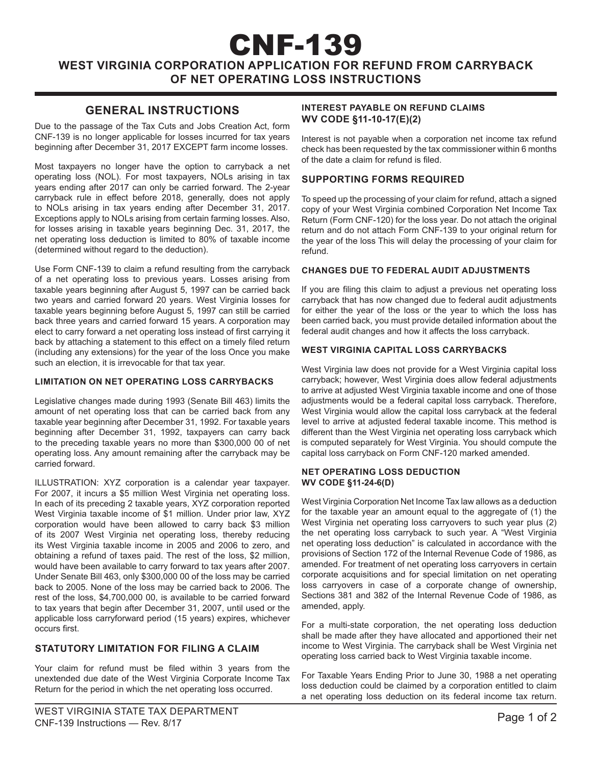# CNF-139 **WEST VIRGINIA CORPORATION APPLICATION FOR REFUND FROM CARRYBACK OF NET OPERATING LOSS INSTRUCTIONS**

# **GENERAL INSTRUCTIONS**

Due to the passage of the Tax Cuts and Jobs Creation Act, form CNF-139 is no longer applicable for losses incurred for tax years beginning after December 31, 2017 EXCEPT farm income losses.

Most taxpayers no longer have the option to carryback a net operating loss (NOL). For most taxpayers, NOLs arising in tax years ending after 2017 can only be carried forward. The 2-year carryback rule in effect before 2018, generally, does not apply to NOLs arising in tax years ending after December 31, 2017. Exceptions apply to NOLs arising from certain farming losses. Also, for losses arising in taxable years beginning Dec. 31, 2017, the net operating loss deduction is limited to 80% of taxable income (determined without regard to the deduction).

Use Form CNF-139 to claim a refund resulting from the carryback of a net operating loss to previous years. Losses arising from taxable years beginning after August 5, 1997 can be carried back two years and carried forward 20 years. West Virginia losses for taxable years beginning before August 5, 1997 can still be carried back three years and carried forward 15 years. A corporation may elect to carry forward a net operating loss instead of first carrying it back by attaching a statement to this effect on a timely filed return (including any extensions) for the year of the loss Once you make such an election, it is irrevocable for that tax year.

# **LIMITATION ON NET OPERATING LOSS CARRYBACKS**

Legislative changes made during 1993 (Senate Bill 463) limits the amount of net operating loss that can be carried back from any taxable year beginning after December 31, 1992. For taxable years beginning after December 31, 1992, taxpayers can carry back to the preceding taxable years no more than \$300,000 00 of net operating loss. Any amount remaining after the carryback may be carried forward.

ILLUSTRATION: XYZ corporation is a calendar year taxpayer. For 2007, it incurs a \$5 million West Virginia net operating loss. In each of its preceding 2 taxable years, XYZ corporation reported West Virginia taxable income of \$1 million. Under prior law, XYZ corporation would have been allowed to carry back \$3 million of its 2007 West Virginia net operating loss, thereby reducing its West Virginia taxable income in 2005 and 2006 to zero, and obtaining a refund of taxes paid. The rest of the loss, \$2 million, would have been available to carry forward to tax years after 2007. Under Senate Bill 463, only \$300,000 00 of the loss may be carried back to 2005. None of the loss may be carried back to 2006. The rest of the loss, \$4,700,000 00, is available to be carried forward to tax years that begin after December 31, 2007, until used or the applicable loss carryforward period (15 years) expires, whichever occurs first.

# **STATUTORY LIMITATION FOR FILING A CLAIM**

Your claim for refund must be filed within 3 years from the unextended due date of the West Virginia Corporate Income Tax Return for the period in which the net operating loss occurred.

Interest is not payable when a corporation net income tax refund check has been requested by the tax commissioner within 6 months of the date a claim for refund is filed.

# **SUPPORTING FORMS REQUIRED**

To speed up the processing of your claim for refund, attach a signed copy of your West Virginia combined Corporation Net Income Tax Return (Form CNF-120) for the loss year. Do not attach the original return and do not attach Form CNF-139 to your original return for the year of the loss This will delay the processing of your claim for refund.

#### **CHANGES DUE TO FEDERAL AUDIT ADJUSTMENTS**

If you are filing this claim to adjust a previous net operating loss carryback that has now changed due to federal audit adjustments for either the year of the loss or the year to which the loss has been carried back, you must provide detailed information about the federal audit changes and how it affects the loss carryback.

# **WEST VIRGINIA CAPITAL LOSS CARRYBACKS**

West Virginia law does not provide for a West Virginia capital loss carryback; however, West Virginia does allow federal adjustments to arrive at adjusted West Virginia taxable income and one of those adjustments would be a federal capital loss carryback. Therefore, West Virginia would allow the capital loss carryback at the federal level to arrive at adjusted federal taxable income. This method is different than the West Virginia net operating loss carryback which is computed separately for West Virginia. You should compute the capital loss carryback on Form CNF-120 marked amended.

#### **NET OPERATING LOSS DEDUCTION WV CODE §11-24-6(D)**

West Virginia Corporation Net Income Tax law allows as a deduction for the taxable year an amount equal to the aggregate of (1) the West Virginia net operating loss carryovers to such year plus (2) the net operating loss carryback to such year. A "West Virginia net operating loss deduction" is calculated in accordance with the provisions of Section 172 of the Internal Revenue Code of 1986, as amended. For treatment of net operating loss carryovers in certain corporate acquisitions and for special limitation on net operating loss carryovers in case of a corporate change of ownership, Sections 381 and 382 of the Internal Revenue Code of 1986, as amended, apply.

For a multi-state corporation, the net operating loss deduction shall be made after they have allocated and apportioned their net income to West Virginia. The carryback shall be West Virginia net operating loss carried back to West Virginia taxable income.

For Taxable Years Ending Prior to June 30, 1988 a net operating loss deduction could be claimed by a corporation entitled to claim a net operating loss deduction on its federal income tax return.